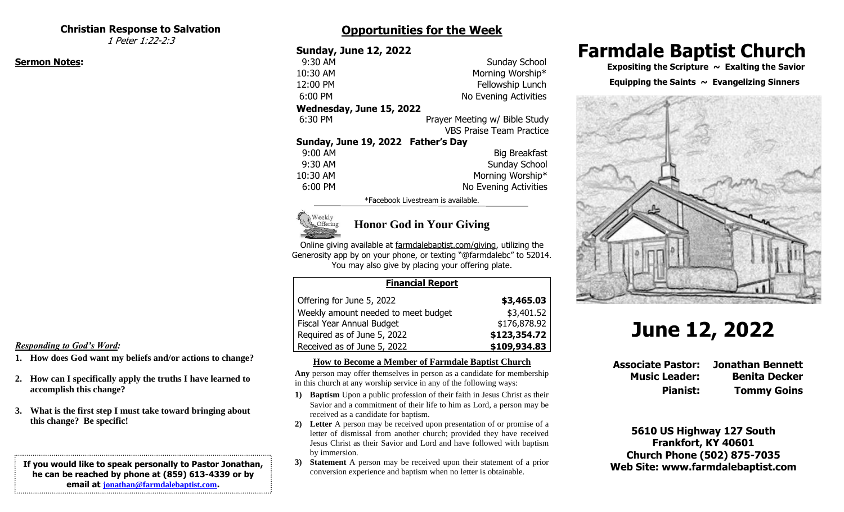#### **Christian Response to Salvation**

1 Peter 1:22-2:3

#### **Sermon Notes:**

# **Opportunities for the Week**

| <b>Sunday, June 12, 2022</b>       |                                 |
|------------------------------------|---------------------------------|
| 9:30 AM                            | Sunday School                   |
| 10:30 AM                           | Morning Worship*                |
| 12:00 PM                           | Fellowship Lunch                |
| 6:00 PM                            | No Evening Activities           |
| Wednesday, June 15, 2022           |                                 |
| 6:30 PM                            | Prayer Meeting w/ Bible Study   |
|                                    | <b>VBS Praise Team Practice</b> |
| Sunday, June 19, 2022 Father's Day |                                 |
| 9:00 AM                            | <b>Big Breakfast</b>            |
| 9:30 AM                            | Sunday School                   |
| 10:30 AM                           | Morning Worship*                |
| 6:00 PM                            | No Evening Activities           |
|                                    |                                 |

\*Facebook Livestream is available.



# **Honor God in Your Giving**

Online giving available at farmdalebaptist.com/giving, utilizing the Generosity app by on your phone, or texting "@farmdalebc" to 52014. You may also give by placing your offering plate.

#### **Financial Report**

| Offering for June 5, 2022           | \$3,465.03   |
|-------------------------------------|--------------|
| Weekly amount needed to meet budget | \$3,401.52   |
| Fiscal Year Annual Budget           | \$176,878.92 |
| Required as of June 5, 2022         | \$123,354.72 |
| Received as of June 5, 2022         | \$109,934.83 |

#### **How to Become a Member of Farmdale Baptist Church**

**Any** person may offer themselves in person as a candidate for membership in this church at any worship service in any of the following ways:

- **1) Baptism** Upon a public profession of their faith in Jesus Christ as their Savior and a commitment of their life to him as Lord, a person may be received as a candidate for baptism.
- **2) Letter** A person may be received upon presentation of or promise of a letter of dismissal from another church; provided they have received Jesus Christ as their Savior and Lord and have followed with baptism by immersion.
- **3) Statement** A person may be received upon their statement of a prior conversion experience and baptism when no letter is obtainable.

# **Farmdale Baptist Church**

 **Expositing the Scripture ~ Exalting the Savior**

#### **Equipping the Saints**  $\sim$  **Evangelizing Sinners**



# **June 12, 2022**

**Associate Pastor: Jonathan Bennett Music Leader: Benita Decker Pianist: Tommy Goins**

**5610 US Highway 127 South Frankfort, KY 40601 Church Phone (502) 875-7035 Web Site: www.farmdalebaptist.com**

#### *Responding to God's Word:*

- **1. How does God want my beliefs and/or actions to change?**
- **2. How can I specifically apply the truths I have learned to accomplish this change?**
- **3. What is the first step I must take toward bringing about this change? Be specific!**

#### **If you would like to speak personally to Pastor Jonathan, he can be reached by phone at (859) 613-4339 or by email at [jonathan@farmdalebaptist.com](mailto:jonathan@farmdalebaptist.com).**